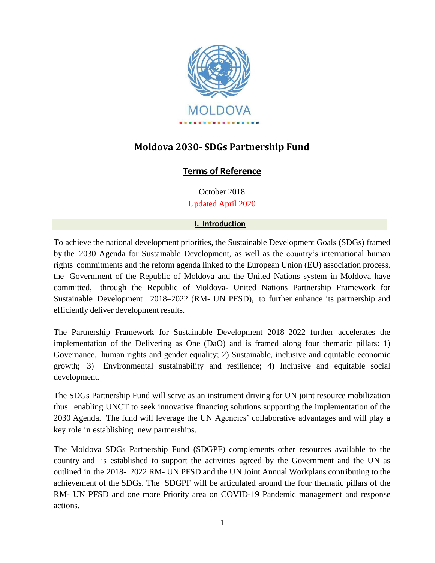

# **Moldova 2030- SDGs Partnership Fund**

# **Terms of Reference**

October 2018 Updated April 2020

# **I. Introduction**

To achieve the national development priorities, the Sustainable Development Goals (SDGs) framed by the 2030 Agenda for Sustainable Development, as well as the country's international human rights commitments and the reform agenda linked to the European Union (EU) association process, the Government of the Republic of Moldova and the United Nations system in Moldova have committed, through the Republic of Moldova- United Nations Partnership Framework for Sustainable Development 2018–2022 (RM- UN PFSD), to further enhance its partnership and efficiently deliver development results.

The Partnership Framework for Sustainable Development 2018–2022 further accelerates the implementation of the Delivering as One (DaO) and is framed along four thematic pillars: 1) Governance, human rights and gender equality; 2) Sustainable, inclusive and equitable economic growth; 3) Environmental sustainability and resilience; 4) Inclusive and equitable social development.

The SDGs Partnership Fund will serve as an instrument driving for UN joint resource mobilization thus enabling UNCT to seek innovative financing solutions supporting the implementation of the 2030 Agenda. The fund will leverage the UN Agencies' collaborative advantages and will play a key role in establishing new partnerships.

The Moldova SDGs Partnership Fund (SDGPF) complements other resources available to the country and is established to support the activities agreed by the Government and the UN as outlined in the 2018- 2022 RM- UN PFSD and the UN Joint Annual Workplans contributing to the achievement of the SDGs. The SDGPF will be articulated around the four thematic pillars of the RM- UN PFSD and one more Priority area on COVID-19 Pandemic management and response actions.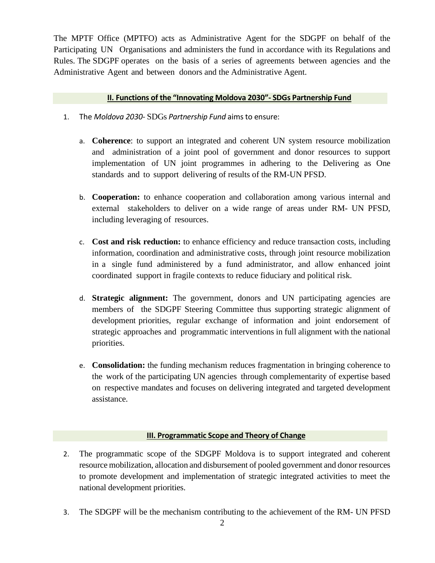The MPTF Office (MPTFO) acts as Administrative Agent for the SDGPF on behalf of the Participating UN Organisations and administers the fund in accordance with its Regulations and Rules. The SDGPF operates on the basis of a series of agreements between agencies and the Administrative Agent and between donors and the Administrative Agent.

## **II. Functions of the "Innovating Moldova 2030"- SDGs Partnership Fund**

- 1. The *Moldova 2030-* SDGs *Partnership Fund* aimsto ensure:
	- a. **Coherence**: to support an integrated and coherent UN system resource mobilization and administration of a joint pool of government and donor resources to support implementation of UN joint programmes in adhering to the Delivering as One standards and to support delivering of results of the RM-UN PFSD.
	- b. **Cooperation:** to enhance cooperation and collaboration among various internal and external stakeholders to deliver on a wide range of areas under RM- UN PFSD, including leveraging of resources.
	- c. **Cost and risk reduction:** to enhance efficiency and reduce transaction costs, including information, coordination and administrative costs, through joint resource mobilization in a single fund administered by a fund administrator, and allow enhanced joint coordinated support in fragile contexts to reduce fiduciary and political risk.
	- d. **Strategic alignment:** The government, donors and UN participating agencies are members of the SDGPF Steering Committee thus supporting strategic alignment of development priorities, regular exchange of information and joint endorsement of strategic approaches and programmatic interventions in full alignment with the national priorities.
	- e. **Consolidation:** the funding mechanism reduces fragmentation in bringing coherence to the work of the participating UN agencies through complementarity of expertise based on respective mandates and focuses on delivering integrated and targeted development assistance.

# **III. Programmatic Scope and Theory of Change**

- 2. The programmatic scope of the SDGPF Moldova is to support integrated and coherent resource mobilization, allocation and disbursement of pooled government and donor resources to promote development and implementation of strategic integrated activities to meet the national development priorities.
- 3. The SDGPF will be the mechanism contributing to the achievement of the RM- UN PFSD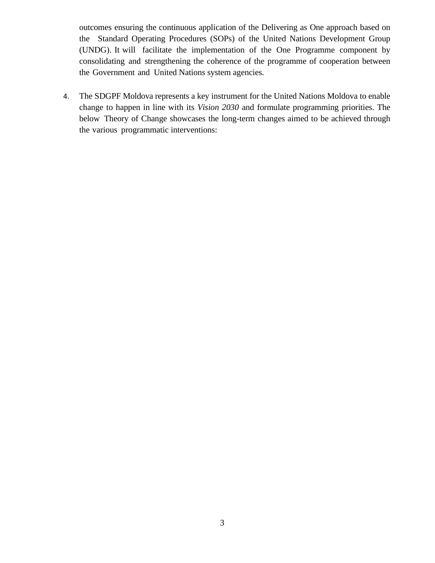outcomes ensuring the continuous application of the Delivering as One approach based on the Standard Operating Procedures (SOPs) of the United Nations Development Group (UNDG). It will facilitate the implementation of the One Programme component by consolidating and strengthening the coherence of the programme of cooperation between the Government and United Nations system agencies.

4. The SDGPF Moldova represents a key instrument for the United Nations Moldova to enable change to happen in line with its *Vision 2030* and formulate programming priorities. The below Theory of Change showcases the long-term changes aimed to be achieved through the various programmatic interventions: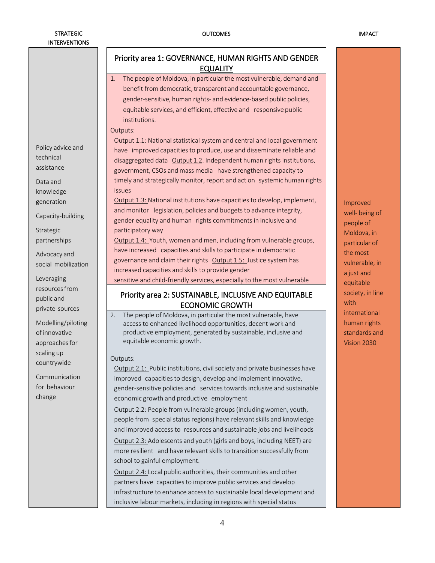#### OUTCOMES IMPACT

|                                                                                                                                                                                            | Priority area 1: GOVERNANCE, HUMAN RIGHTS AND GENDER<br><b>EQUALITY</b>                                                                                                                                                                                                                                                                                                                                                                                                                                                                                                                                                                                                                                                                                                                                                                                                                                                                                                                   |                                                                                                                     |  |  |
|--------------------------------------------------------------------------------------------------------------------------------------------------------------------------------------------|-------------------------------------------------------------------------------------------------------------------------------------------------------------------------------------------------------------------------------------------------------------------------------------------------------------------------------------------------------------------------------------------------------------------------------------------------------------------------------------------------------------------------------------------------------------------------------------------------------------------------------------------------------------------------------------------------------------------------------------------------------------------------------------------------------------------------------------------------------------------------------------------------------------------------------------------------------------------------------------------|---------------------------------------------------------------------------------------------------------------------|--|--|
|                                                                                                                                                                                            | The people of Moldova, in particular the most vulnerable, demand and<br>1.<br>benefit from democratic, transparent and accountable governance,<br>gender-sensitive, human rights- and evidence-based public policies,<br>equitable services, and efficient, effective and responsive public<br>institutions.                                                                                                                                                                                                                                                                                                                                                                                                                                                                                                                                                                                                                                                                              |                                                                                                                     |  |  |
| Policy advice and<br>technical<br>assistance<br>Data and<br>knowledge<br>generation<br>Capacity-building<br>Strategic<br>partnerships<br>Advocacy and<br>social mobilization<br>Leveraging | Outputs:<br>Output 1.1: National statistical system and central and local government<br>have improved capacities to produce, use and disseminate reliable and<br>disaggregated data Output 1.2. Independent human rights institutions,<br>government, CSOs and mass media have strengthened capacity to<br>timely and strategically monitor, report and act on systemic human rights<br><i>issues</i><br>Output 1.3: National institutions have capacities to develop, implement,<br>and monitor legislation, policies and budgets to advance integrity,<br>gender equality and human rights commitments in inclusive and<br>participatory way<br>Output 1.4: Youth, women and men, including from vulnerable groups,<br>have increased capacities and skills to participate in democratic<br>governance and claim their rights Output 1.5: Justice system has<br>increased capacities and skills to provide gender                                                                       | Improved<br>well- being of<br>people of<br>Moldova, in<br>particular of<br>the most<br>vulnerable, in<br>a just and |  |  |
| resources from<br>public and<br>private sources                                                                                                                                            | sensitive and child-friendly services, especially to the most vulnerable<br><b>Priority area 2: SUSTAINABLE, INCLUSIVE AND EQUITABLE</b><br><b>ECONOMIC GROWTH</b>                                                                                                                                                                                                                                                                                                                                                                                                                                                                                                                                                                                                                                                                                                                                                                                                                        | equitable<br>society, in line<br>with                                                                               |  |  |
| Modelling/piloting<br>of innovative<br>approaches for                                                                                                                                      | 2.<br>The people of Moldova, in particular the most vulnerable, have<br>access to enhanced livelihood opportunities, decent work and<br>productive employment, generated by sustainable, inclusive and<br>equitable economic growth.                                                                                                                                                                                                                                                                                                                                                                                                                                                                                                                                                                                                                                                                                                                                                      | international<br>human rights<br>standards and<br>Vision 2030                                                       |  |  |
| scaling up<br>countrywide<br>Communication<br>for behaviour<br>change                                                                                                                      | Outputs:<br>Output 2.1: Public institutions, civil society and private businesses have<br>improved capacities to design, develop and implement innovative,<br>gender-sensitive policies and services towards inclusive and sustainable<br>economic growth and productive employment<br>Output 2.2: People from vulnerable groups (including women, youth,<br>people from special status regions) have relevant skills and knowledge<br>and improved access to resources and sustainable jobs and livelihoods<br>Output 2.3: Adolescents and youth (girls and boys, including NEET) are<br>more resilient and have relevant skills to transition successfully from<br>school to gainful employment.<br>Output 2.4: Local public authorities, their communities and other<br>partners have capacities to improve public services and develop<br>infrastructure to enhance access to sustainable local development and<br>inclusive labour markets, including in regions with special status |                                                                                                                     |  |  |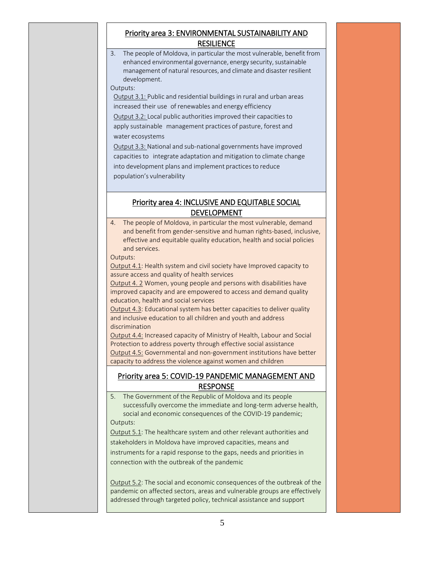# Priority area 3: ENVIRONMENTAL SUSTAINABILITY AND **RESILIENCE**

3. The people of Moldova, in particular the most vulnerable, benefit from enhanced environmental governance, energy security, sustainable management of natural resources, and climate and disaster resilient development. Outputs:

Output 3.1: Public and residential buildings in rural and urban areas increased their use of renewables and energy efficiency Output 3.2: Local public authorities improved their capacities to apply sustainable management practices of pasture, forest and water ecosystems

Output 3.3: National and sub-national governments have improved capacities to integrate adaptation and mitigation to climate change into development plans and implement practices to reduce population's vulnerability

# Priority area 4: INCLUSIVE AND EQUITABLE SOCIAL DEVELOPMENT

4. The people of Moldova, in particular the most vulnerable, demand and benefit from gender-sensitive and human rights-based, inclusive, effective and equitable quality education, health and social policies and services.

Outputs:

Output 4.1: Health system and civil society have Improved capacity to assure access and quality of health services

Output 4. 2 Women, young people and persons with disabilities have improved capacity and are empowered to access and demand quality education, health and social services

Output 4.3: Educational system has better capacities to deliver quality and inclusive education to all children and youth and address discrimination

Output 4.4: Increased capacity of Ministry of Health, Labour and Social Protection to address poverty through effective social assistance Output 4.5: Governmental and non-government institutions have better capacity to address the violence against women and children

## Priority area 5: COVID-19 PANDEMIC MANAGEMENT AND RESPONSE

5. The Government of the Republic of Moldova and its people successfully overcome the immediate and long-term adverse health, social and economic consequences of the COVID-19 pandemic; Outputs: Output 5.1: The healthcare system and other relevant authorities and stakeholders in Moldova have improved capacities, means and instruments for a rapid response to the gaps, needs and priorities in connection with the outbreak of the pandemic Output 5.2: The social and economic consequences of the outbreak of the pandemic on affected sectors, areas and vulnerable groups are effectively addressed through targeted policy, technical assistance and support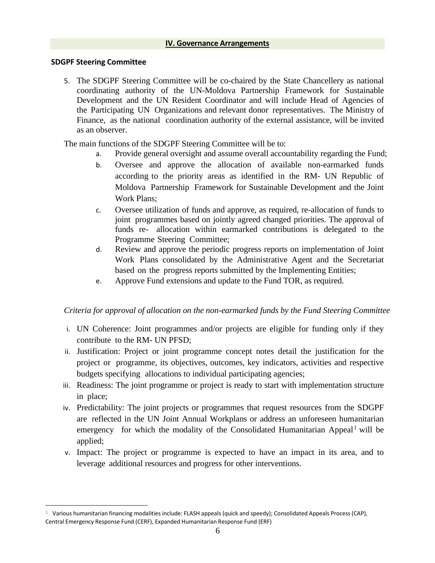#### **SDGPF Steering Committee**

5. The SDGPF Steering Committee will be co-chaired by the State Chancellery as national coordinating authority of the UN-Moldova Partnership Framework for Sustainable Development and the UN Resident Coordinator and will include Head of Agencies of the Participating UN Organizations and relevant donor representatives. The Ministry of Finance, as the national coordination authority of the external assistance, will be invited as an observer.

The main functions of the SDGPF Steering Committee will be to:

- a. Provide general oversight and assume overall accountability regarding the Fund;
- b. Oversee and approve the allocation of available non-earmarked funds according to the priority areas as identified in the RM- UN Republic of Moldova Partnership Framework for Sustainable Development and the Joint Work Plans;
- c. Oversee utilization of funds and approve, as required, re-allocation of funds to joint programmes based on jointly agreed changed priorities. The approval of funds re- allocation within earmarked contributions is delegated to the Programme Steering Committee;
- d. Review and approve the periodic progress reports on implementation of Joint Work Plans consolidated by the Administrative Agent and the Secretariat based on the progress reports submitted by the Implementing Entities;
- e. Approve Fund extensions and update to the Fund TOR, as required.

#### *Criteria for approval of allocation on the non-earmarked funds by the Fund Steering Committee*

- i. UN Coherence: Joint programmes and/or projects are eligible for funding only if they contribute to the RM- UN PFSD;
- ii. Justification: Project or joint programme concept notes detail the justification for the project or programme, its objectives, outcomes, key indicators, activities and respective budgets specifying allocations to individual participating agencies;
- iii. Readiness: The joint programme or project is ready to start with implementation structure in place;
- iv. Predictability: The joint projects or programmes that request resources from the SDGPF are reflected in the UN Joint Annual Workplans or address an unforeseen humanitarian emergency for which the modality of the Consolidated Humanitarian Appeal<sup>1</sup> will be applied;
- v. Impact: The project or programme is expected to have an impact in its area, and to leverage additional resources and progress for other interventions.

 $1$  Various humanitarian financing modalities include: FLASH appeals (quick and speedy); Consolidated Appeals Process (CAP), Central Emergency Response Fund (CERF), Expanded Humanitarian Response Fund (ERF)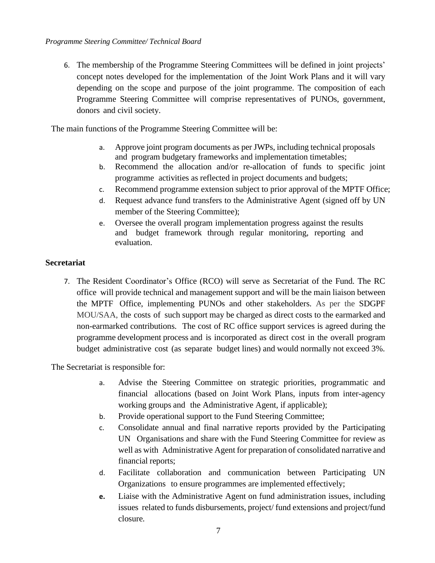6. The membership of the Programme Steering Committees will be defined in joint projects' concept notes developed for the implementation of the Joint Work Plans and it will vary depending on the scope and purpose of the joint programme. The composition of each Programme Steering Committee will comprise representatives of PUNOs, government, donors and civil society.

The main functions of the Programme Steering Committee will be:

- a. Approve joint program documents as per JWPs, including technical proposals and program budgetary frameworks and implementation timetables;
- b. Recommend the allocation and/or re-allocation of funds to specific joint programme activities as reflected in project documents and budgets;
- c. Recommend programme extension subject to prior approval of the MPTF Office;
- d. Request advance fund transfers to the Administrative Agent (signed off by UN member of the Steering Committee);
- e. Oversee the overall program implementation progress against the results and budget framework through regular monitoring, reporting and evaluation.

## **Secretariat**

7. The Resident Coordinator's Office (RCO) will serve as Secretariat of the Fund. The RC office will provide technical and management support and will be the main liaison between the MPTF Office, implementing PUNOs and other stakeholders. As per the SDGPF MOU/SAA, the costs of such support may be charged as direct costs to the earmarked and non-earmarked contributions. The cost of RC office support services is agreed during the programme development process and is incorporated as direct cost in the overall program budget administrative cost (as separate budget lines) and would normally not exceed 3%.

The Secretariat is responsible for:

- a. Advise the Steering Committee on strategic priorities, programmatic and financial allocations (based on Joint Work Plans, inputs from inter-agency working groups and the Administrative Agent, if applicable);
- b. Provide operational support to the Fund Steering Committee;
- c. Consolidate annual and final narrative reports provided by the Participating UN Organisations and share with the Fund Steering Committee for review as well as with Administrative Agent for preparation of consolidated narrative and financial reports;
- d. Facilitate collaboration and communication between Participating UN Organizations to ensure programmes are implemented effectively;
- **e.** Liaise with the Administrative Agent on fund administration issues, including issues related to funds disbursements, project/ fund extensions and project/fund closure.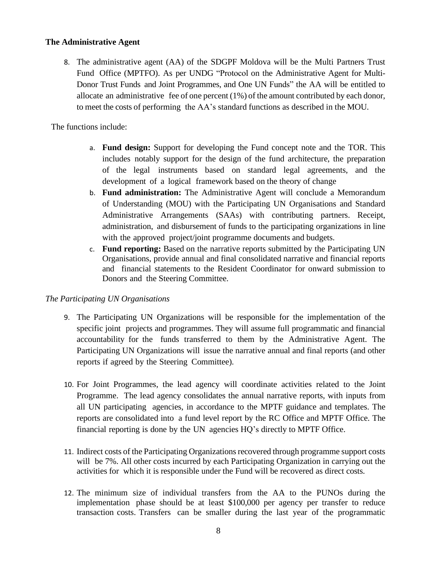#### **The Administrative Agent**

8. The administrative agent (AA) of the SDGPF Moldova will be the Multi Partners Trust Fund Office (MPTFO). As per UNDG "Protocol on the Administrative Agent for Multi-Donor Trust Funds and Joint Programmes, and One UN Funds" the AA will be entitled to allocate an administrative fee of one percent (1%) of the amount contributed by each donor, to meet the costs of performing the AA's standard functions as described in the MOU.

The functions include:

- a. **Fund design:** Support for developing the Fund concept note and the TOR. This includes notably support for the design of the fund architecture, the preparation of the legal instruments based on standard legal agreements, and the development of a logical framework based on the theory of change
- b. **Fund administration:** The Administrative Agent will conclude a Memorandum of Understanding (MOU) with the Participating UN Organisations and Standard Administrative Arrangements (SAAs) with contributing partners. Receipt, administration, and disbursement of funds to the participating organizations in line with the approved project/joint programme documents and budgets.
- c. **Fund reporting:** Based on the narrative reports submitted by the Participating UN Organisations, provide annual and final consolidated narrative and financial reports and financial statements to the Resident Coordinator for onward submission to Donors and the Steering Committee.

#### *The Participating UN Organisations*

- 9. The Participating UN Organizations will be responsible for the implementation of the specific joint projects and programmes. They will assume full programmatic and financial accountability for the funds transferred to them by the Administrative Agent. The Participating UN Organizations will issue the narrative annual and final reports (and other reports if agreed by the Steering Committee).
- 10. For Joint Programmes, the lead agency will coordinate activities related to the Joint Programme. The lead agency consolidates the annual narrative reports, with inputs from all UN participating agencies, in accordance to the MPTF guidance and templates. The reports are consolidated into a fund level report by the RC Office and MPTF Office. The financial reporting is done by the UN agencies HQ's directly to MPTF Office.
- 11. Indirect costs of the Participating Organizationsrecovered through programme support costs will be 7%. All other costs incurred by each Participating Organization in carrying out the activities for which it is responsible under the Fund will be recovered as direct costs.
- 12. The minimum size of individual transfers from the AA to the PUNOs during the implementation phase should be at least \$100,000 per agency per transfer to reduce transaction costs. Transfers can be smaller during the last year of the programmatic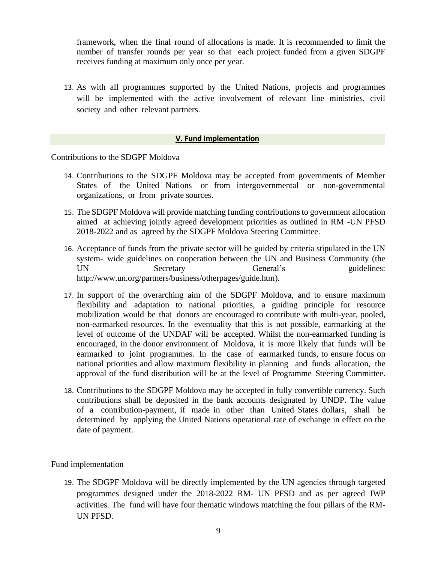framework, when the final round of allocations is made. It is recommended to limit the number of transfer rounds per year so that each project funded from a given SDGPF receives funding at maximum only once per year.

13. As with all programmes supported by the United Nations, projects and programmes will be implemented with the active involvement of relevant line ministries, civil society and other relevant partners.

#### **V. Fund Implementation**

Contributions to the SDGPF Moldova

- 14. Contributions to the SDGPF Moldova may be accepted from governments of Member States of the United Nations or from intergovernmental or non-governmental organizations, or from private sources.
- 15. The SDGPF Moldova will provide matching funding contributions to government allocation aimed at achieving jointly agreed development priorities as outlined in RM -UN PFSD 2018-2022 and as agreed by the SDGPF Moldova Steering Committee.
- 16. Acceptance of funds from the private sector will be guided by criteria stipulated in the UN system- wide guidelines on cooperation between the UN and Business Community (the UN Secretary General's guidelines: [http://www.un.org/partners/business/otherpages/guide.htm\)](http://www.un.org/partners/business/otherpages/guide.htm).
- 17. In support of the overarching aim of the SDGPF Moldova, and to ensure maximum flexibility and adaptation to national priorities, a guiding principle for resource mobilization would be that donors are encouraged to contribute with multi-year, pooled, non-earmarked resources. In the eventuality that this is not possible, earmarking at the level of outcome of the UNDAF will be accepted. Whilst the non-earmarked funding is encouraged, in the donor environment of Moldova, it is more likely that funds will be earmarked to joint programmes. In the case of earmarked funds, to ensure focus on national priorities and allow maximum flexibility in planning and funds allocation, the approval of the fund distribution will be at the level of Programme Steering Committee.
- 18. Contributions to the SDGPF Moldova may be accepted in fully convertible currency. Such contributions shall be deposited in the bank accounts designated by UNDP. The value of a contribution-payment, if made in other than United States dollars, shall be determined by applying the United Nations operational rate of exchange in effect on the date of payment.

#### Fund implementation

19. The SDGPF Moldova will be directly implemented by the UN agencies through targeted programmes designed under the 2018-2022 RM- UN PFSD and as per agreed JWP activities. The fund will have four thematic windows matching the four pillars of the RM-UN PFSD.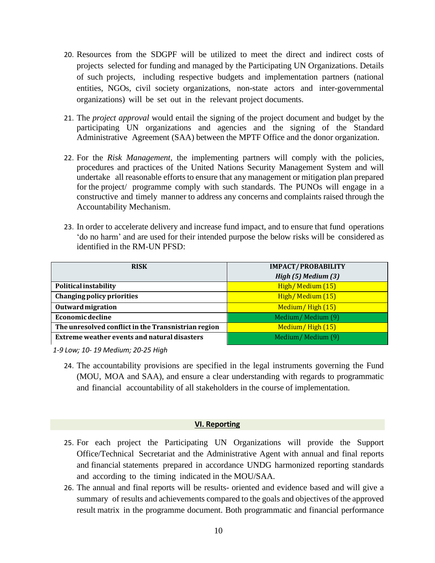- 20. Resources from the SDGPF will be utilized to meet the direct and indirect costs of projects selected for funding and managed by the Participating UN Organizations. Details of such projects, including respective budgets and implementation partners (national entities, NGOs, civil society organizations, non-state actors and inter-governmental organizations) will be set out in the relevant project documents.
- 21. The *project approval* would entail the signing of the project document and budget by the participating UN organizations and agencies and the signing of the Standard Administrative Agreement (SAA) between the MPTF Office and the donor organization.
- 22. For the *Risk Management*, the implementing partners will comply with the policies, procedures and practices of the United Nations Security Management System and will undertake all reasonable efforts to ensure that any management or mitigation plan prepared for the project/ programme comply with such standards. The PUNOs will engage in a constructive and timely manner to address any concerns and complaints raised through the Accountability Mechanism.
- 23. In order to accelerate delivery and increase fund impact, and to ensure that fund operations 'do no harm' and are used for their intended purpose the below risks will be considered as identified in the RM-UN PFSD:

| <b>RISK</b>                                         | <b>IMPACT/PROBABILITY</b> |  |  |
|-----------------------------------------------------|---------------------------|--|--|
|                                                     | High $(5)$ Medium $(3)$   |  |  |
| Political instability                               | High/Medium (15)          |  |  |
| Changing policy priorities                          | High/Medium (15)          |  |  |
| Outward migration                                   | Medium/High (15)          |  |  |
| Economic decline                                    | Medium/Medium (9)         |  |  |
| The unresolved conflict in the Transnistrian region | Medium/High (15)          |  |  |
| Extreme weather events and natural disasters        | Medium/Medium (9)         |  |  |

*1-9 Low; 10- 19 Medium; 20-25 High*

24. The accountability provisions are specified in the legal instruments governing the Fund (MOU, MOA and SAA), and ensure a clear understanding with regards to programmatic and financial accountability of all stakeholders in the course of implementation.

#### **VI. Reporting**

- 25. For each project the Participating UN Organizations will provide the Support Office/Technical Secretariat and the Administrative Agent with annual and final reports and financial statements prepared in accordance UNDG harmonized reporting standards and according to the timing indicated in the MOU/SAA.
- 26. The annual and final reports will be results- oriented and evidence based and will give a summary of results and achievements compared to the goals and objectives of the approved result matrix in the programme document. Both programmatic and financial performance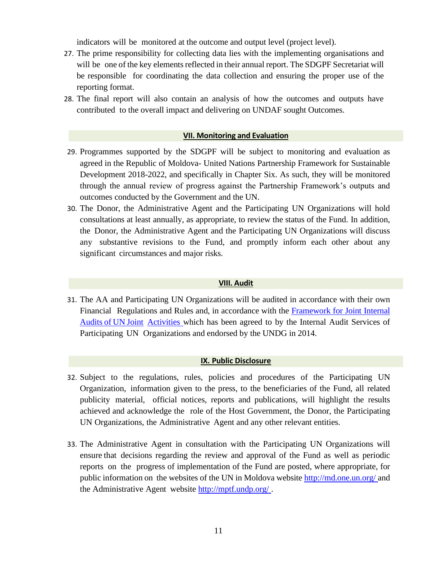indicators will be monitored at the outcome and output level (project level).

- 27. The prime responsibility for collecting data lies with the implementing organisations and will be one of the key elements reflected in their annual report. The SDGPF Secretariat will be responsible for coordinating the data collection and ensuring the proper use of the reporting format.
- 28. The final report will also contain an analysis of how the outcomes and outputs have contributed to the overall impact and delivering on UNDAF sought Outcomes.

#### **VII. Monitoring and Evaluation**

- 29. Programmes supported by the SDGPF will be subject to monitoring and evaluation as agreed in the Republic of Moldova- United Nations Partnership Framework for Sustainable Development 2018-2022, and specifically in Chapter Six. As such, they will be monitored through the annual review of progress against the Partnership Framework's outputs and outcomes conducted by the Government and the UN.
- 30. The Donor, the Administrative Agent and the Participating UN Organizations will hold consultations at least annually, as appropriate, to review the status of the Fund. In addition, the Donor, the Administrative Agent and the Participating UN Organizations will discuss any substantive revisions to the Fund, and promptly inform each other about any significant circumstances and major risks.

#### **VIII. Audit**

31. The AA and Participating UN Organizations will be audited in accordance with their own Financial Regulations and Rules and, in accordance with the [Framework](http://mptf.undp.org/document/download/13486) for Joint Internal [Audits](http://mptf.undp.org/document/download/13486) of UN Joint [Activities](http://mptf.undp.org/document/download/13486) which has been agreed to by the Internal Audit Services of Participating UN Organizations and endorsed by the UNDG in 2014.

#### **IX. Public Disclosure**

- 32. Subject to the regulations, rules, policies and procedures of the Participating UN Organization, information given to the press, to the beneficiaries of the Fund, all related publicity material, official notices, reports and publications, will highlight the results achieved and acknowledge the role of the Host Government, the Donor, the Participating UN Organizations, the Administrative Agent and any other relevant entities.
- 33. The Administrative Agent in consultation with the Participating UN Organizations will ensure that decisions regarding the review and approval of the Fund as well as periodic reports on the progress of implementation of the Fund are posted, where appropriate, for public information on the websites of the UN in Moldova website <http://md.one.un.org/> and the Administrative Agent website<http://mptf.undp.org/> .